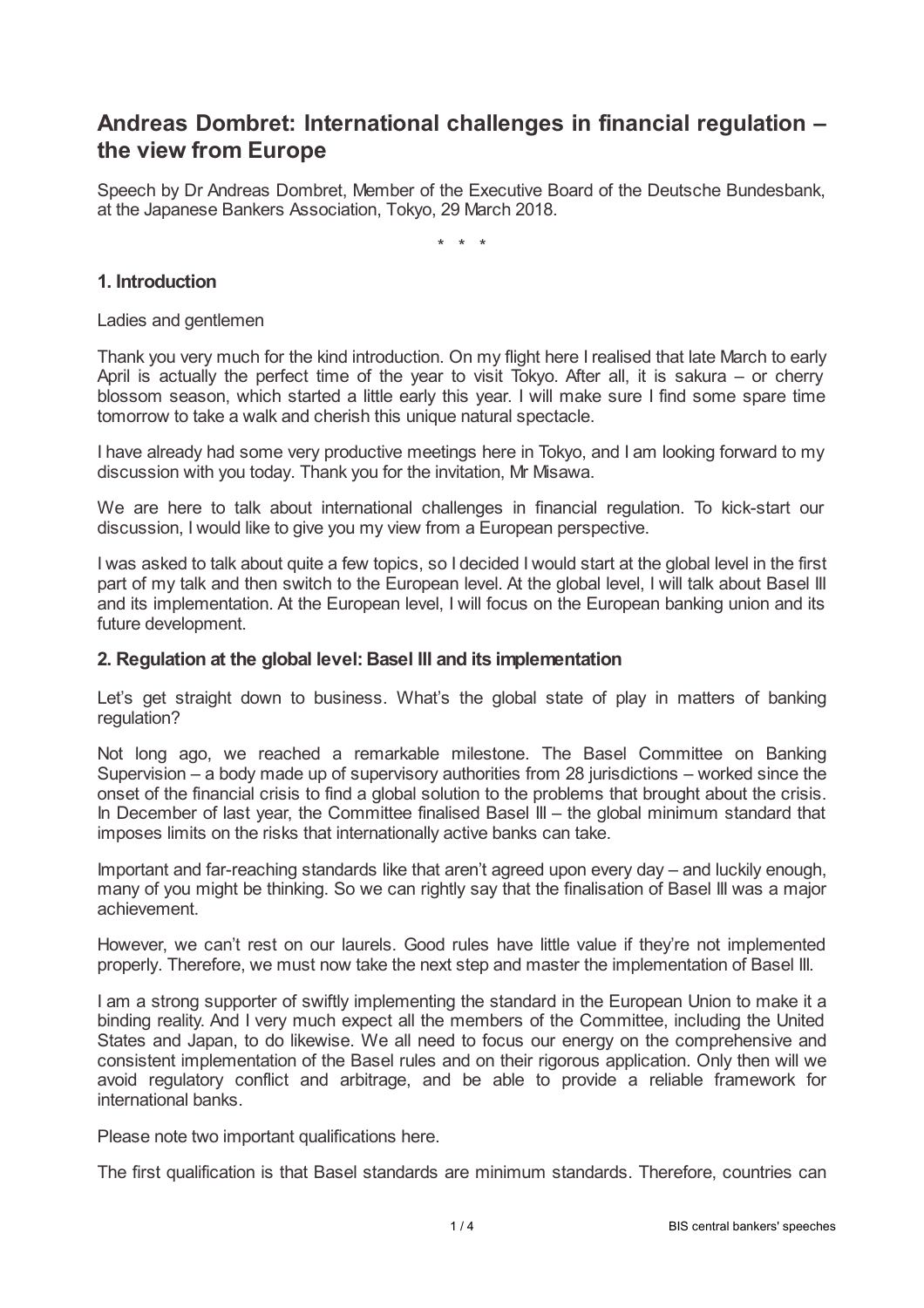# **Andreas Dombret: International challenges in financial regulation – the view from Europe**

Speech by Dr Andreas Dombret, Member of the Executive Board of the Deutsche Bundesbank, at the Japanese Bankers Association, Tokyo, 29 March 2018.

\* \* \*

## **1. Introduction**

Ladies and gentlemen

Thank you very much for the kind introduction. On my flight here I realised that late March to early April is actually the perfect time of the year to visit Tokyo. After all, it is sakura – or cherry blossom season, which started a little early this year. I will make sure I find some spare time tomorrow to take a walk and cherish this unique natural spectacle.

I have already had some very productive meetings here in Tokyo, and I am looking forward to my discussion with you today. Thank you for the invitation, Mr Misawa.

We are here to talk about international challenges in financial regulation. To kick-start our discussion, I would like to give you my view from a European perspective.

I was asked to talk about quite a few topics, so I decided I would start at the global level in the first part of my talk and then switch to the European level. At the global level, I will talk about Basel III and its implementation. At the European level, I will focus on the European banking union and its future development.

#### **2. Regulation at the global level:Basel III and its implementation**

Let's get straight down to business. What's the global state of play in matters of banking regulation?

Not long ago, we reached a remarkable milestone. The Basel Committee on Banking Supervision – a body made up of supervisory authorities from 28 jurisdictions – worked since the onset of the financial crisis to find a global solution to the problems that brought about the crisis. In December of last year, the Committee finalised Basel III – the global minimum standard that imposes limits on the risks that internationally active banks can take.

Important and far-reaching standards like that aren't agreed upon every day – and luckily enough, many of you might be thinking. So we can rightly say that the finalisation of Basel III was a major achievement.

However, we can't rest on our laurels. Good rules have little value if they're not implemented properly. Therefore, we must now take the next step and master the implementation of Basel III.

I am a strong supporter of swiftly implementing the standard in the European Union to make it a binding reality. And I very much expect all the members of the Committee, including the United States and Japan, to do likewise. We all need to focus our energy on the comprehensive and consistent implementation of the Basel rules and on their rigorous application. Only then will we avoid regulatory conflict and arbitrage, and be able to provide a reliable framework for international banks.

Please note two important qualifications here.

The first qualification is that Basel standards are minimum standards. Therefore, countries can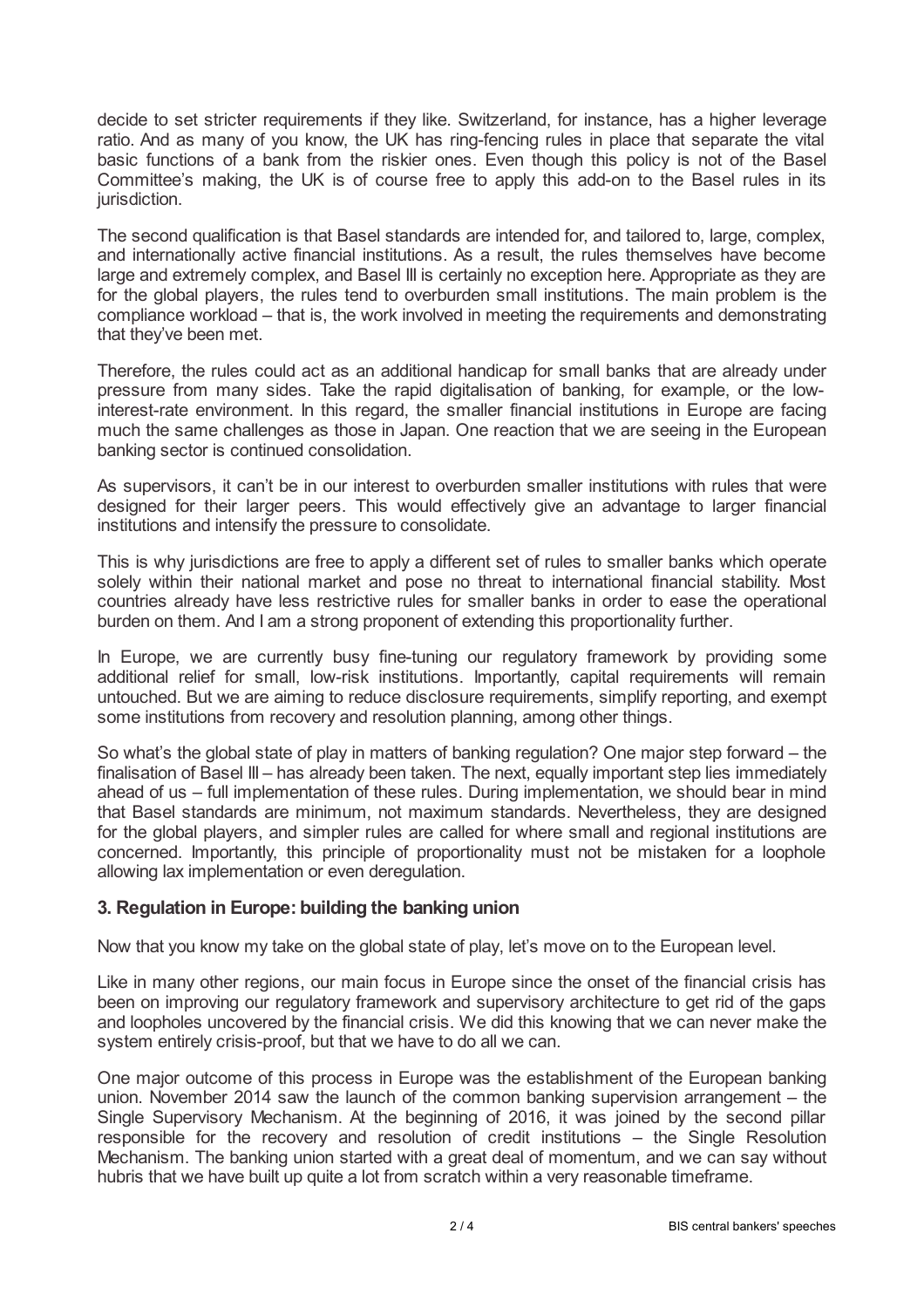decide to set stricter requirements if they like. Switzerland, for instance, has a higher leverage ratio. And as many of you know, the UK has ring-fencing rules in place that separate the vital basic functions of a bank from the riskier ones. Even though this policy is not of the Basel Committee's making, the UK is of course free to apply this add-on to the Basel rules in its jurisdiction.

The second qualification is that Basel standards are intended for, and tailored to, large, complex, and internationally active financial institutions. As a result, the rules themselves have become large and extremely complex, and Basel III is certainly no exception here. Appropriate as they are for the global players, the rules tend to overburden small institutions. The main problem is the compliance workload – that is, the work involved in meeting the requirements and demonstrating that they've been met.

Therefore, the rules could act as an additional handicap for small banks that are already under pressure from many sides. Take the rapid digitalisation of banking, for example, or the lowinterest-rate environment. In this regard, the smaller financial institutions in Europe are facing much the same challenges as those in Japan. One reaction that we are seeing in the European banking sector is continued consolidation.

As supervisors, it can't be in our interest to overburden smaller institutions with rules that were designed for their larger peers. This would effectively give an advantage to larger financial institutions and intensify the pressure to consolidate.

This is why jurisdictions are free to apply a different set of rules to smaller banks which operate solely within their national market and pose no threat to international financial stability. Most countries already have less restrictive rules for smaller banks in order to ease the operational burden on them. And I am a strong proponent of extending this proportionality further.

In Europe, we are currently busy fine-tuning our regulatory framework by providing some additional relief for small, low-risk institutions. Importantly, capital requirements will remain untouched. But we are aiming to reduce disclosure requirements, simplify reporting, and exempt some institutions from recovery and resolution planning, among other things.

So what's the global state of play in matters of banking regulation? One major step forward – the finalisation of Basel III – has already been taken. The next, equally important step lies immediately ahead of us – full implementation of these rules. During implementation, we should bear in mind that Basel standards are minimum, not maximum standards. Nevertheless, they are designed for the global players, and simpler rules are called for where small and regional institutions are concerned. Importantly, this principle of proportionality must not be mistaken for a loophole allowing lax implementation or even deregulation.

## **3. Regulation in Europe: building the banking union**

Now that you know my take on the global state of play, let's move on to the European level.

Like in many other regions, our main focus in Europe since the onset of the financial crisis has been on improving our regulatory framework and supervisory architecture to get rid of the gaps and loopholes uncovered by the financial crisis. We did this knowing that we can never make the system entirely crisis-proof, but that we have to do all we can.

One major outcome of this process in Europe was the establishment of the European banking union. November 2014 saw the launch of the common banking supervision arrangement – the Single Supervisory Mechanism. At the beginning of 2016, it was joined by the second pillar responsible for the recovery and resolution of credit institutions – the Single Resolution Mechanism. The banking union started with a great deal of momentum, and we can say without hubris that we have built up quite a lot from scratch within a very reasonable timeframe.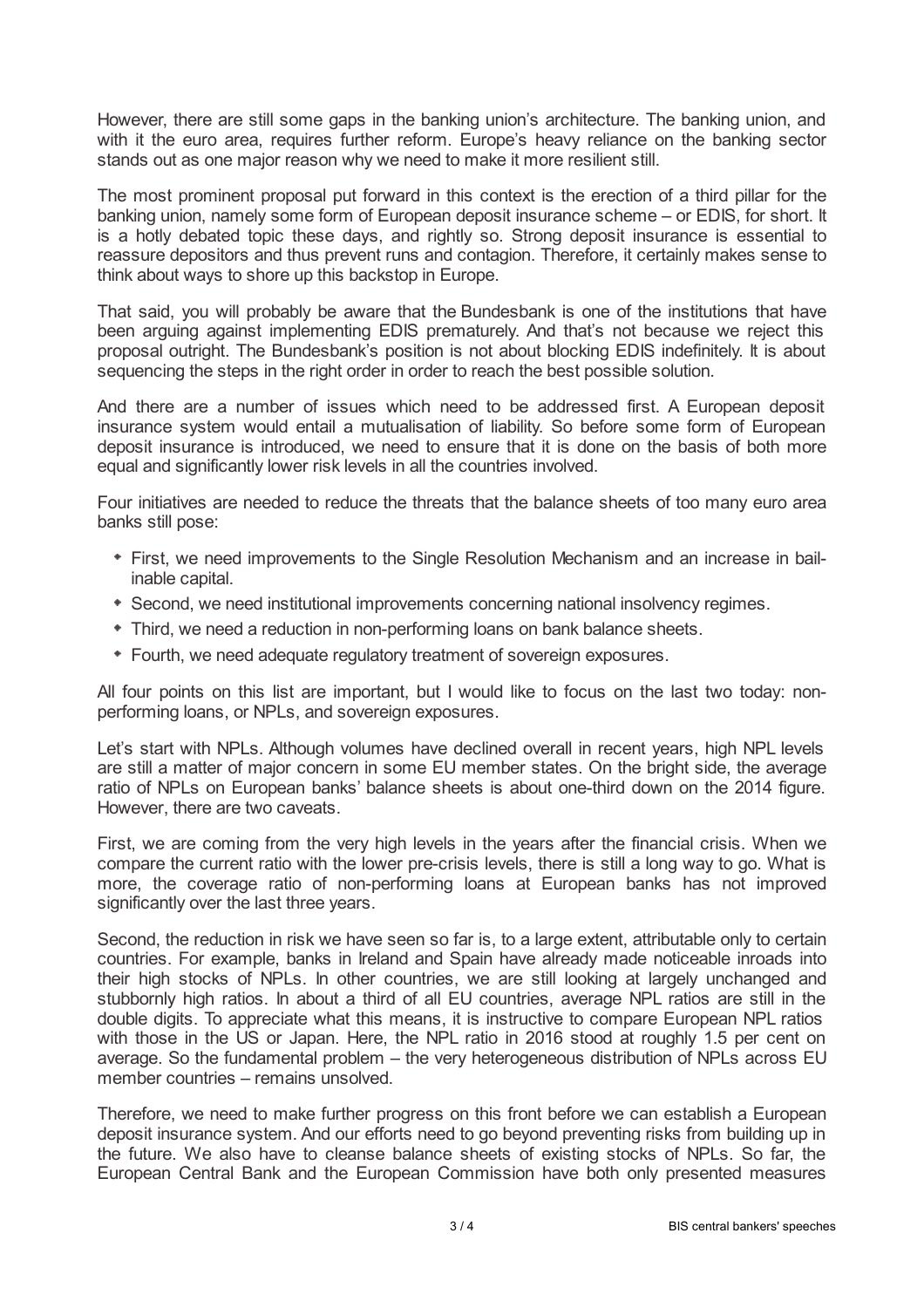However, there are still some gaps in the banking union's architecture. The banking union, and with it the euro area, requires further reform. Europe's heavy reliance on the banking sector stands out as one major reason why we need to make it more resilient still.

The most prominent proposal put forward in this context is the erection of a third pillar for the banking union, namely some form of European deposit insurance scheme – or EDIS, for short. It is a hotly debated topic these days, and rightly so. Strong deposit insurance is essential to reassure depositors and thus prevent runs and contagion. Therefore, it certainly makes sense to think about ways to shore up this backstop in Europe.

That said, you will probably be aware that the Bundesbank is one of the institutions that have been arguing against implementing EDIS prematurely. And that's not because we reject this proposal outright. The Bundesbank's position is not about blocking EDIS indefinitely. It is about sequencing the steps in the right order in order to reach the best possible solution.

And there are a number of issues which need to be addressed first. A European deposit insurance system would entail a mutualisation of liability. So before some form of European deposit insurance is introduced, we need to ensure that it is done on the basis of both more equal and significantly lower risk levels in all the countries involved.

Four initiatives are needed to reduce the threats that the balance sheets of too many euro area banks still pose:

- First, we need improvements to the Single Resolution Mechanism and an increase in bailinable capital.
- Second, we need institutional improvements concerning national insolvency regimes.
- Third, we need a reduction in non-performing loans on bank balance sheets.
- Fourth, we need adequate regulatory treatment of sovereign exposures.

All four points on this list are important, but I would like to focus on the last two today: nonperforming loans, or NPLs, and sovereign exposures.

Let's start with NPLs. Although volumes have declined overall in recent years, high NPL levels are still a matter of major concern in some EU member states. On the bright side, the average ratio of NPLs on European banks' balance sheets is about one-third down on the 2014 figure. However, there are two caveats.

First, we are coming from the very high levels in the years after the financial crisis. When we compare the current ratio with the lower pre-crisis levels, there is still a long way to go. What is more, the coverage ratio of non-performing loans at European banks has not improved significantly over the last three years.

Second, the reduction in risk we have seen so far is, to a large extent, attributable only to certain countries. For example, banks in Ireland and Spain have already made noticeable inroads into their high stocks of NPLs. In other countries, we are still looking at largely unchanged and stubbornly high ratios. In about a third of all EU countries, average NPL ratios are still in the double digits. To appreciate what this means, it is instructive to compare European NPL ratios with those in the US or Japan. Here, the NPL ratio in 2016 stood at roughly 1.5 per cent on average. So the fundamental problem – the very heterogeneous distribution of NPLs across EU member countries – remains unsolved.

Therefore, we need to make further progress on this front before we can establish a European deposit insurance system. And our efforts need to go beyond preventing risks from building up in the future. We also have to cleanse balance sheets of existing stocks of NPLs. So far, the European Central Bank and the European Commission have both only presented measures